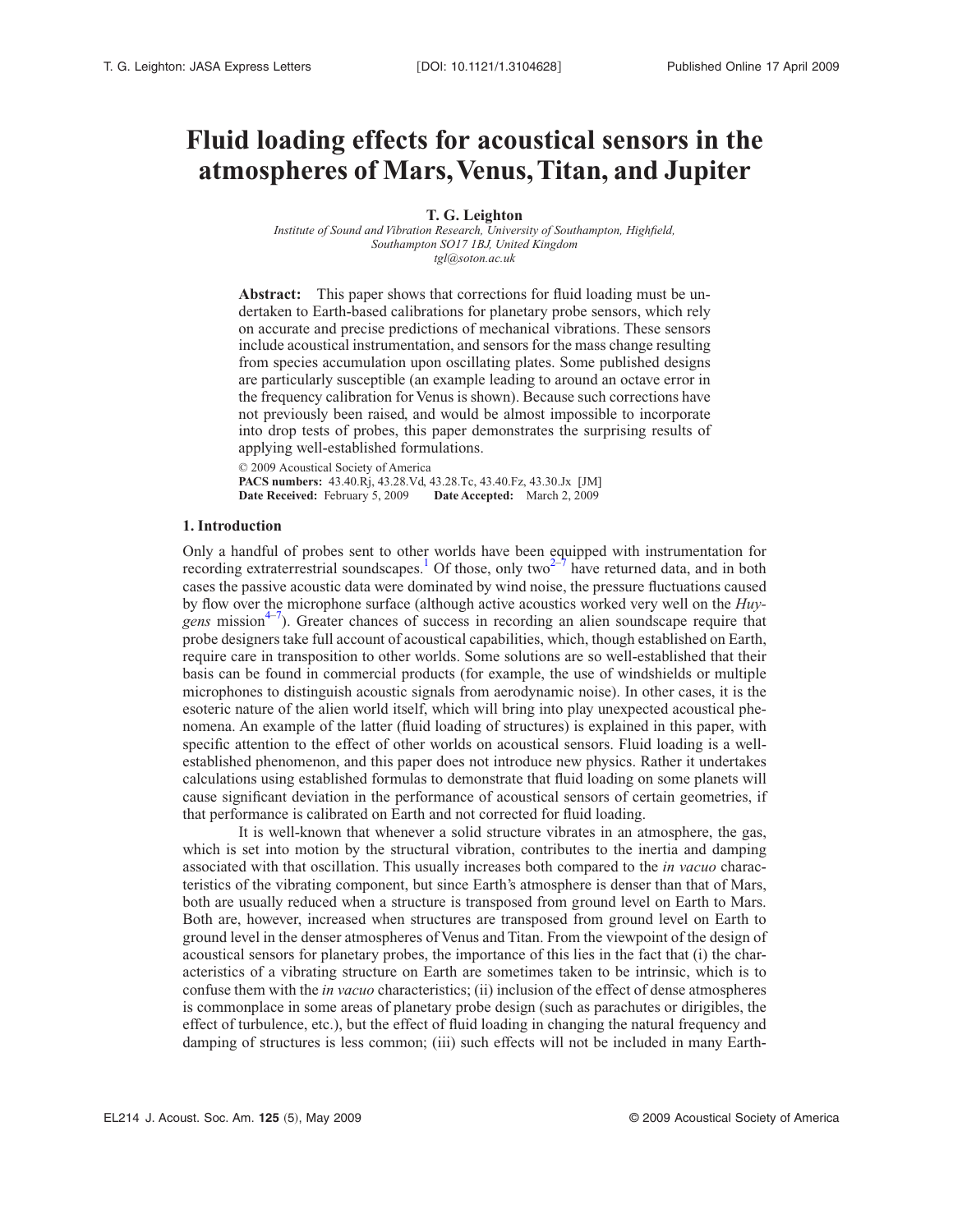# **Fluid loading effects for acoustical sensors in the atmospheres of Mars,Venus,Titan, and Jupiter**

**T. G. Leighton**

*Institute of Sound and Vibration Research, University of Southampton, Highfield, Southampton SO17 1BJ, United Kingdom tgl@soton.ac.uk*

**Abstract:** This paper shows that corrections for fluid loading must be undertaken to Earth-based calibrations for planetary probe sensors, which rely on accurate and precise predictions of mechanical vibrations. These sensors include acoustical instrumentation, and sensors for the mass change resulting from species accumulation upon oscillating plates. Some published designs are particularly susceptible (an example leading to around an octave error in the frequency calibration for Venus is shown). Because such corrections have not previously been raised, and would be almost impossible to incorporate into drop tests of probes, this paper demonstrates the surprising results of applying well-established formulations.

© 2009 Acoustical Society of America **PACS numbers:** 43.40.Rj, 43.28.Vd, 43.28.Tc, 43.40.Fz, 43.30.Jx [JM] **Date Received:** February 5, 2009 **Date Accepted:** March 2, 2009

## **1. Introduction**

Only a handful of probes sent to other worlds have been equipped with instrumentation for recording extraterrestrial soundscapes.<sup>1</sup> Of those, only two<sup>2–[7](#page-5-0)</sup> have returned data, and in both cases the passive acoustic data were dominated by wind noise, the pressure fluctuations caused by flow over the microphone surface (although active acoustics worked very well on the *Huy* $gens$  mission<sup>4-7</sup>). Greater chances of success in recording an alien soundscape require that probe designers take full account of acoustical capabilities, which, though established on Earth, require care in transposition to other worlds. Some solutions are so well-established that their basis can be found in commercial products (for example, the use of windshields or multiple microphones to distinguish acoustic signals from aerodynamic noise). In other cases, it is the esoteric nature of the alien world itself, which will bring into play unexpected acoustical phenomena. An example of the latter (fluid loading of structures) is explained in this paper, with specific attention to the effect of other worlds on acoustical sensors. Fluid loading is a wellestablished phenomenon, and this paper does not introduce new physics. Rather it undertakes calculations using established formulas to demonstrate that fluid loading on some planets will cause significant deviation in the performance of acoustical sensors of certain geometries, if that performance is calibrated on Earth and not corrected for fluid loading.

It is well-known that whenever a solid structure vibrates in an atmosphere, the gas, which is set into motion by the structural vibration, contributes to the inertia and damping associated with that oscillation. This usually increases both compared to the *in vacuo* characteristics of the vibrating component, but since Earth's atmosphere is denser than that of Mars, both are usually reduced when a structure is transposed from ground level on Earth to Mars. Both are, however, increased when structures are transposed from ground level on Earth to ground level in the denser atmospheres of Venus and Titan. From the viewpoint of the design of acoustical sensors for planetary probes, the importance of this lies in the fact that (i) the characteristics of a vibrating structure on Earth are sometimes taken to be intrinsic, which is to confuse them with the *in vacuo* characteristics; (ii) inclusion of the effect of dense atmospheres is commonplace in some areas of planetary probe design (such as parachutes or dirigibles, the effect of turbulence, etc.), but the effect of fluid loading in changing the natural frequency and damping of structures is less common; (iii) such effects will not be included in many Earth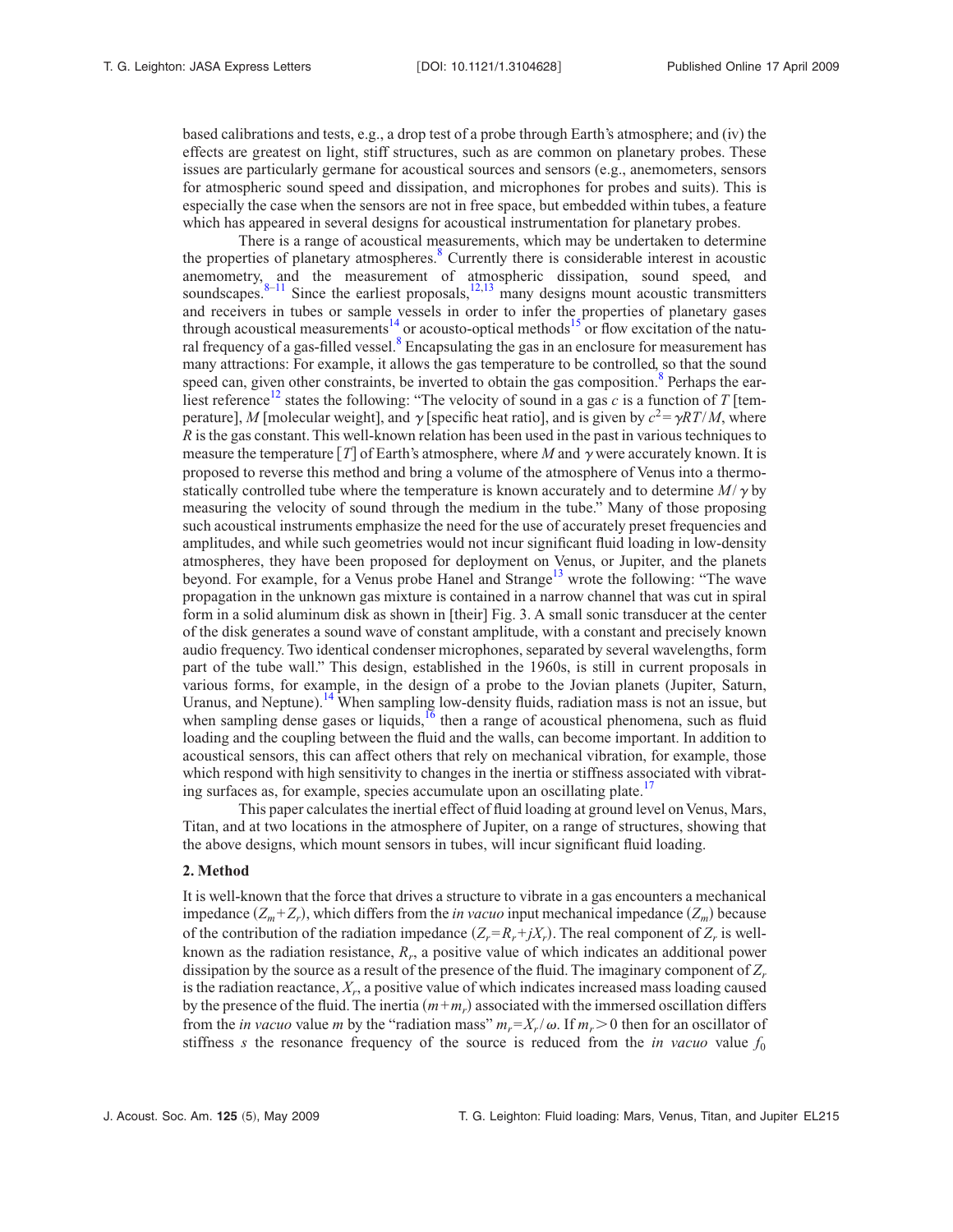based calibrations and tests, e.g., a drop test of a probe through Earth's atmosphere; and (iv) the effects are greatest on light, stiff structures, such as are common on planetary probes. These issues are particularly germane for acoustical sources and sensors (e.g., anemometers, sensors for atmospheric sound speed and dissipation, and microphones for probes and suits). This is especially the case when the sensors are not in free space, but embedded within tubes, a feature which has appeared in several designs for acoustical instrumentation for planetary probes.

There is a range of acoustical measurements, which may be undertaken to determine the properties of planetary atmospheres. $8$  Currently there is considerable interest in acoustic anemometry, and the measurement of atmospheric dissipation, sound speed, and soundscapes. $8-11$  Since the earliest proposals, $12,13$  $12,13$  many designs mount acoustic transmitters and receivers in tubes or sample vessels in order to infer the properties of planetary gases through acoustical measurements<sup>14</sup> or acousto-optical methods<sup>15</sup> or flow excitation of the natural frequency of a gas-filled vessel. $8$  Encapsulating the gas in an enclosure for measurement has many attractions: For example, it allows the gas temperature to be controlled, so that the sound speed can, given other constraints, be inverted to obtain the gas composition.<sup>8</sup> Perhaps the earliest reference<sup>12</sup> states the following: "The velocity of sound in a gas  $c$  is a function of  $T$  [temperature], *M* [molecular weight], and  $\gamma$  [specific heat ratio], and is given by  $c^2 = \gamma RT/M$ , where *R* is the gas constant. This well-known relation has been used in the past in various techniques to measure the temperature  $[T]$  of Earth's atmosphere, where *M* and  $\gamma$  were accurately known. It is proposed to reverse this method and bring a volume of the atmosphere of Venus into a thermostatically controlled tube where the temperature is known accurately and to determine  $M/\gamma$  by measuring the velocity of sound through the medium in the tube." Many of those proposing such acoustical instruments emphasize the need for the use of accurately preset frequencies and amplitudes, and while such geometries would not incur significant fluid loading in low-density atmospheres, they have been proposed for deployment on Venus, or Jupiter, and the planets beyond. For example, for a Venus probe Hanel and Strange<sup>13</sup> wrote the following: "The wave propagation in the unknown gas mixture is contained in a narrow channel that was cut in spiral form in a solid aluminum disk as shown in [their] Fig. 3. A small sonic transducer at the center of the disk generates a sound wave of constant amplitude, with a constant and precisely known audio frequency. Two identical condenser microphones, separated by several wavelengths, form part of the tube wall." This design, established in the 1960s, is still in current proposals in various forms, for example, in the design of a probe to the Jovian planets (Jupiter, Saturn, Uranus, and Neptune).<sup>14</sup> When sampling low-density fluids, radiation mass is not an issue, but when sampling dense gases or liquids, $16$  then a range of acoustical phenomena, such as fluid loading and the coupling between the fluid and the walls, can become important. In addition to acoustical sensors, this can affect others that rely on mechanical vibration, for example, those which respond with high sensitivity to changes in the inertia or stiffness associated with vibrating surfaces as, for example, species accumulate upon an oscillating plate.<sup>17</sup>

This paper calculates the inertial effect of fluid loading at ground level on Venus, Mars, Titan, and at two locations in the atmosphere of Jupiter, on a range of structures, showing that the above designs, which mount sensors in tubes, will incur significant fluid loading.

# **2. Method**

It is well-known that the force that drives a structure to vibrate in a gas encounters a mechanical impedance  $(Z_m + Z_r)$ , which differs from the *in vacuo* input mechanical impedance  $(Z_m)$  because of the contribution of the radiation impedance  $(Z_r=R_r+jX_r)$ . The real component of  $Z_r$  is wellknown as the radiation resistance, *Rr*, a positive value of which indicates an additional power dissipation by the source as a result of the presence of the fluid. The imaginary component of *Zr* is the radiation reactance, *Xr*, a positive value of which indicates increased mass loading caused by the presence of the fluid. The inertia  $(m+m<sub>r</sub>)$  associated with the immersed oscillation differs from the *in vacuo* value *m* by the "radiation mass"  $m_r = X_r/\omega$ . If  $m_r > 0$  then for an oscillator of stiffness *s* the resonance frequency of the source is reduced from the *in vacuo* value  $f_0$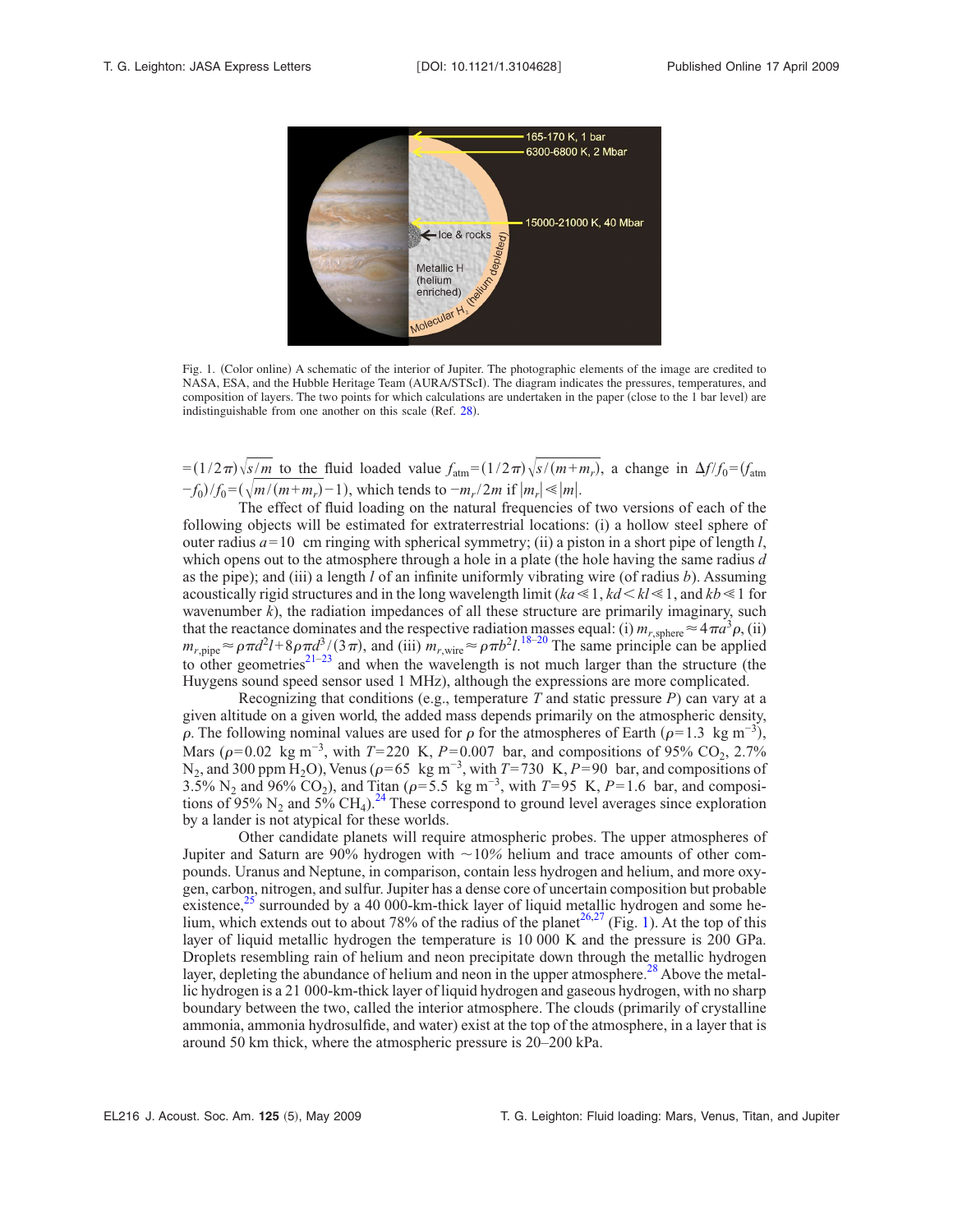<span id="page-2-0"></span>

Fig. 1. (Color online) A schematic of the interior of Jupiter. The photographic elements of the image are credited to NASA, ESA, and the Hubble Heritage Team AURA/STScI. The diagram indicates the pressures, temperatures, and composition of layers. The two points for which calculations are undertaken in the paper (close to the 1 bar level) are indistinguishable from one another on this scale (Ref. [28](#page-5-17)).

 $=(1/2\pi)\sqrt{s/m}$  to the fluid loaded value  $f_{\text{atm}}=(1/2\pi)\sqrt{s/(m+m_r)}$ , a change in  $\Delta f/f_0 = (f_{\text{atm}})$  $-f_0$ / $f_0 = (\sqrt{m/(m+m_r)}-1)$ , which tends to  $-m_r/2m$  if  $|m_r| \ll |m|$ .

The effect of fluid loading on the natural frequencies of two versions of each of the following objects will be estimated for extraterrestrial locations: (i) a hollow steel sphere of outer radius *a*= 10 cm ringing with spherical symmetry; (ii) a piston in a short pipe of length *l*, which opens out to the atmosphere through a hole in a plate (the hole having the same radius *d* as the pipe); and (iii) a length *l* of an infinite uniformly vibrating wire (of radius *b*). Assuming acoustically rigid structures and in the long wavelength limit ( $ka \le 1$ ,  $kd \le kl \le 1$ , and  $kb \le 1$  for wavenumber *k*), the radiation impedances of all these structure are primarily imaginary, such that the reactance dominates and the respective radiation masses equal: (i)  $m_{r,\text{sphere}} \approx 4\pi a^3 \rho$ , (ii)  $m_{r,\text{pipe}} \approx \rho \pi d^2 l + 8 \rho \pi d^3 / (3\pi)$ , and (iii)  $m_{r,\text{wire}} \approx \rho \pi b^2 l^{18-20}$  $m_{r,\text{wire}} \approx \rho \pi b^2 l^{18-20}$  $m_{r,\text{wire}} \approx \rho \pi b^2 l^{18-20}$  The same principle can be applied to other geometries $2^{1-23}$  and when the wavelength is not much larger than the structure (the Huygens sound speed sensor used 1 MHz), although the expressions are more complicated.

Recognizing that conditions (e.g., temperature *T* and static pressure *P*) can vary at a given altitude on a given world, the added mass depends primarily on the atmospheric density,  $\rho$ . The following nominal values are used for  $\rho$  for the atmospheres of Earth ( $\rho = 1.3 \text{ kg m}^{-3}$ ), Mars ( $\rho$ =0.02 kg m<sup>-3</sup>, with *T*=220 K, *P*=0.007 bar, and compositions of 95% CO<sub>2</sub>, 2.7% N<sub>2</sub>, and 300 ppm H<sub>2</sub>O), Venus ( $\rho$ =65 kg m<sup>-3</sup>, with *T*=730 K, *P*=90 bar, and compositions of 3.5% N<sub>2</sub> and 96% CO<sub>2</sub>), and Titan ( $\rho$ = 5.5 kg m<sup>-3</sup>, with *T*=95 K, *P*=1.6 bar, and compositions of 95% N<sub>2</sub> and 5% CH<sub>4</sub>).<sup>24</sup> These correspond to ground level averages since exploration by a lander is not atypical for these worlds.

Other candidate planets will require atmospheric probes. The upper atmospheres of Jupiter and Saturn are 90% hydrogen with  $\sim$  10% helium and trace amounts of other compounds. Uranus and Neptune, in comparison, contain less hydrogen and helium, and more oxygen, carbon, nitrogen, and sulfur. Jupiter has a dense core of uncertain composition but probable existence, $^{25}$  surrounded by a 40 000-km-thick layer of liquid metallic hydrogen and some he-lium, which extends out to about 78% of the radius of the planet<sup>26,[27](#page-5-16)</sup> (Fig. [1\)](#page-2-0). At the top of this layer of liquid metallic hydrogen the temperature is 10 000 K and the pressure is 200 GPa. Droplets resembling rain of helium and neon precipitate down through the metallic hydrogen layer, depleting the abundance of helium and neon in the upper atmosphere.<sup>28</sup> Above the metallic hydrogen is a 21 000-km-thick layer of liquid hydrogen and gaseous hydrogen, with no sharp boundary between the two, called the interior atmosphere. The clouds (primarily of crystalline ammonia, ammonia hydrosulfide, and water) exist at the top of the atmosphere, in a layer that is around 50 km thick, where the atmospheric pressure is 20–200 kPa.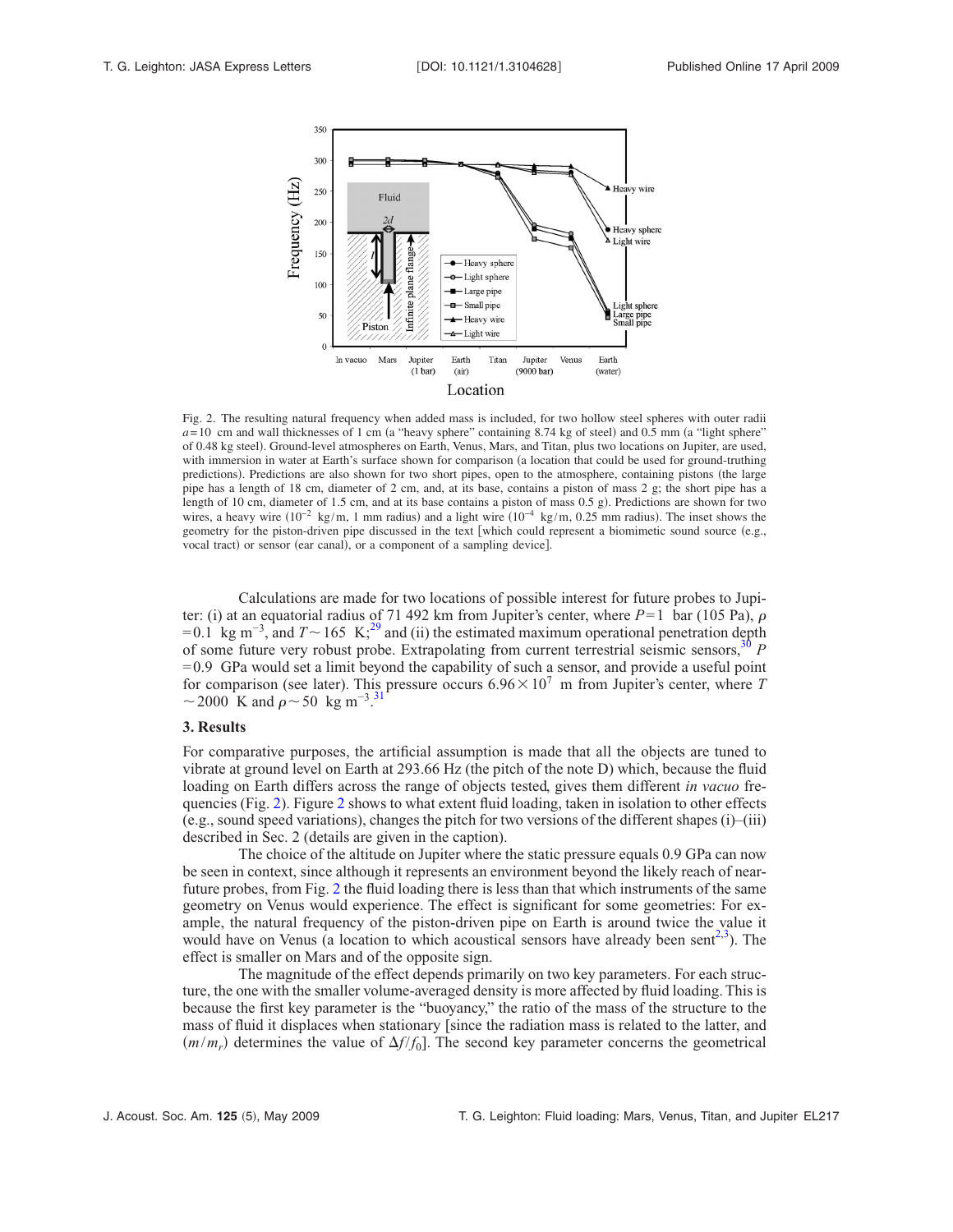<span id="page-3-0"></span>

Fig. 2. The resulting natural frequency when added mass is included, for two hollow steel spheres with outer radii  $a=10$  cm and wall thicknesses of 1 cm (a "heavy sphere" containing 8.74 kg of steel) and 0.5 mm (a "light sphere" of 0.48 kg steel. Ground-level atmospheres on Earth, Venus, Mars, and Titan, plus two locations on Jupiter, are used, with immersion in water at Earth's surface shown for comparison (a location that could be used for ground-truthing predictions). Predictions are also shown for two short pipes, open to the atmosphere, containing pistons (the large pipe has a length of 18 cm, diameter of 2 cm, and, at its base, contains a piston of mass 2 g; the short pipe has a length of 10 cm, diameter of 1.5 cm, and at its base contains a piston of mass 0.5 g. Predictions are shown for two wires, a heavy wire  $(10^{-2} \text{ kg/m}, 1 \text{ mm}$  radius) and a light wire  $(10^{-4} \text{ kg/m}, 0.25 \text{ mm}$  radius). The inset shows the geometry for the piston-driven pipe discussed in the text which could represent a biomimetic sound source (e.g., vocal tract) or sensor (ear canal), or a component of a sampling device].

Calculations are made for two locations of possible interest for future probes to Jupiter: (i) at an equatorial radius of 71 492 km from Jupiter's center, where  $P=1$  bar (105 Pa),  $\rho$ = 0.1 kg m<sup>-3</sup>, and  $T \sim 165 \text{ K}$ ;<sup>29</sup> and (ii) the estimated maximum operational penetration depth of some future very robust probe. Extrapolating from current terrestrial seismic sensors,<sup>30</sup> *P* = 0.9 GPa would set a limit beyond the capability of such a sensor, and provide a useful point for comparison (see later). This pressure occurs  $6.96 \times 10^7$  m from Jupiter's center, where *T* ~2000 K and  $\rho$  ~50 kg m<sup>-3.[31](#page-5-20)</sup>

## **3. Results**

For comparative purposes, the artificial assumption is made that all the objects are tuned to vibrate at ground level on Earth at 293.66 Hz (the pitch of the note D) which, because the fluid loading on Earth differs across the range of objects tested, gives them different *in vacuo* fre-quencies (Fig. [2\)](#page-3-0). Figure [2](#page-3-0) shows to what extent fluid loading, taken in isolation to other effects (e.g., sound speed variations), changes the pitch for two versions of the different shapes (i)–(iii) described in Sec. 2 (details are given in the caption).

The choice of the altitude on Jupiter where the static pressure equals 0.9 GPa can now be seen in context, since although it represents an environment beyond the likely reach of nearfuture probes, from Fig. [2](#page-3-0) the fluid loading there is less than that which instruments of the same geometry on Venus would experience. The effect is significant for some geometries: For example, the natural frequency of the piston-driven pipe on Earth is around twice the value it would have on Venus (a location to which acoustical sensors have already been sent<sup>2[,3](#page-4-3)</sup>). The effect is smaller on Mars and of the opposite sign.

The magnitude of the effect depends primarily on two key parameters. For each structure, the one with the smaller volume-averaged density is more affected by fluid loading. This is because the first key parameter is the "buoyancy," the ratio of the mass of the structure to the mass of fluid it displaces when stationary [since the radiation mass is related to the latter, and  $(m/m_r)$  determines the value of  $\Delta f/f_0$ ]. The second key parameter concerns the geometrical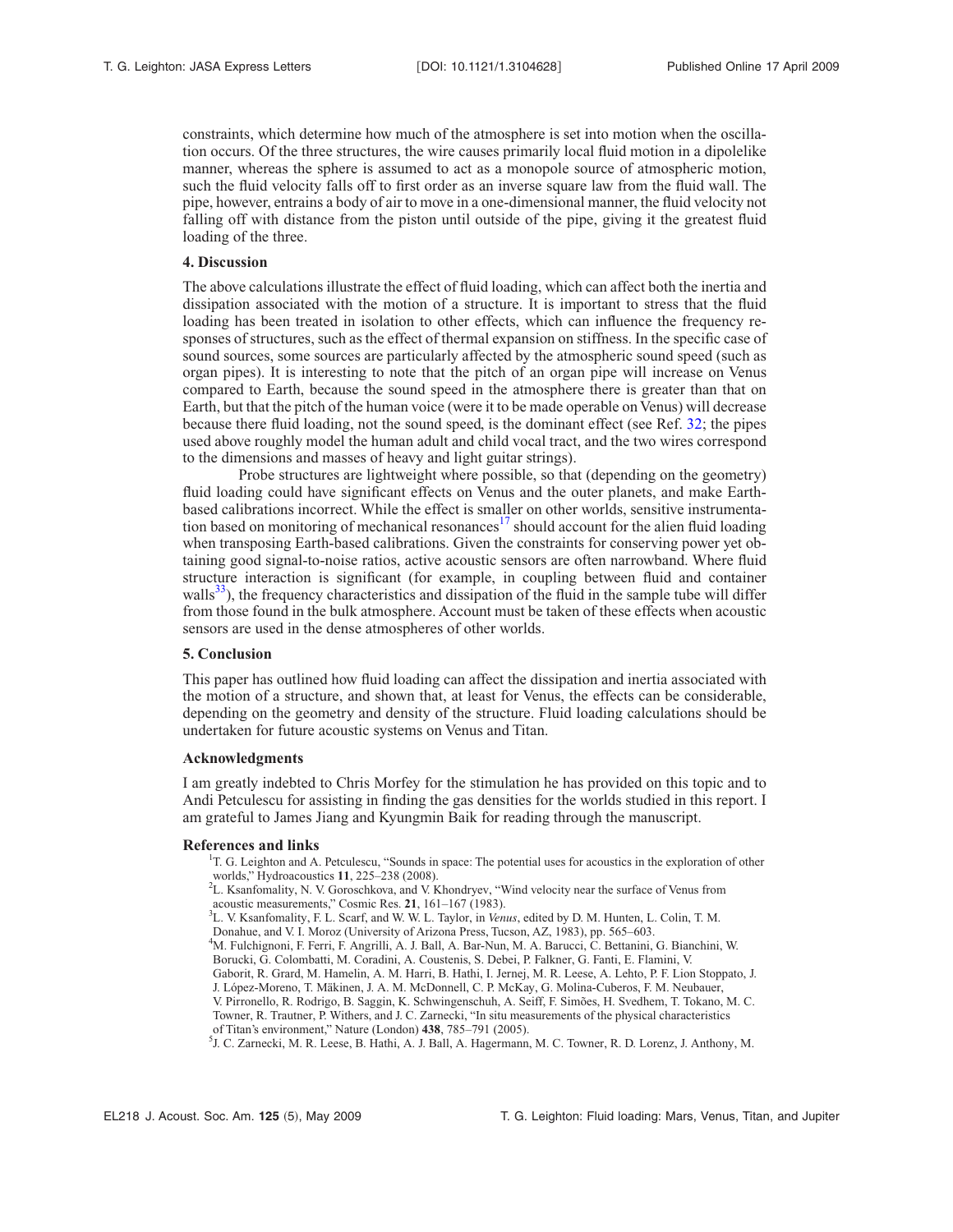constraints, which determine how much of the atmosphere is set into motion when the oscillation occurs. Of the three structures, the wire causes primarily local fluid motion in a dipolelike manner, whereas the sphere is assumed to act as a monopole source of atmospheric motion, such the fluid velocity falls off to first order as an inverse square law from the fluid wall. The pipe, however, entrains a body of air to move in a one-dimensional manner, the fluid velocity not falling off with distance from the piston until outside of the pipe, giving it the greatest fluid loading of the three.

#### **4. Discussion**

The above calculations illustrate the effect of fluid loading, which can affect both the inertia and dissipation associated with the motion of a structure. It is important to stress that the fluid loading has been treated in isolation to other effects, which can influence the frequency responses of structures, such as the effect of thermal expansion on stiffness. In the specific case of sound sources, some sources are particularly affected by the atmospheric sound speed (such as organ pipes). It is interesting to note that the pitch of an organ pipe will increase on Venus compared to Earth, because the sound speed in the atmosphere there is greater than that on Earth, but that the pitch of the human voice (were it to be made operable on Venus) will decrease because there fluid loading, not the sound speed, is the dominant effect (see Ref. [32;](#page-5-21) the pipes used above roughly model the human adult and child vocal tract, and the two wires correspond to the dimensions and masses of heavy and light guitar strings).

Probe structures are lightweight where possible, so that (depending on the geometry) fluid loading could have significant effects on Venus and the outer planets, and make Earthbased calibrations incorrect. While the effect is smaller on other worlds, sensitive instrumentation based on monitoring of mechanical resonances<sup>17</sup> should account for the alien fluid loading when transposing Earth-based calibrations. Given the constraints for conserving power yet obtaining good signal-to-noise ratios, active acoustic sensors are often narrowband. Where fluid structure interaction is significant (for example, in coupling between fluid and container walls<sup>33</sup>), the frequency characteristics and dissipation of the fluid in the sample tube will differ from those found in the bulk atmosphere. Account must be taken of these effects when acoustic sensors are used in the dense atmospheres of other worlds.

### **5. Conclusion**

This paper has outlined how fluid loading can affect the dissipation and inertia associated with the motion of a structure, and shown that, at least for Venus, the effects can be considerable, depending on the geometry and density of the structure. Fluid loading calculations should be undertaken for future acoustic systems on Venus and Titan.

#### **Acknowledgments**

I am greatly indebted to Chris Morfey for the stimulation he has provided on this topic and to Andi Petculescu for assisting in finding the gas densities for the worlds studied in this report. I am grateful to James Jiang and Kyungmin Baik for reading through the manuscript.

#### <span id="page-4-3"></span><span id="page-4-1"></span><span id="page-4-0"></span>**References and links**

<sup>1</sup>T. G. Leighton and A. Petculescu, "Sounds in space: The potential uses for acoustics in the exploration of other worlds," Hydroacoustics **<sup>11</sup>**, 225–238 (2008). <sup>2</sup>

<sup>2</sup>L. Ksanfomality, N. V. Goroschkova, and V. Khondryev, "Wind velocity near the surface of Venus from acoustic measurements," Cosmic Res. 21, 161-167 (1983).

<span id="page-4-2"></span>L. V. Ksanfomality, F. L. Scarf, and W. W. L. Taylor, in *Venus*, edited by D. M. Hunten, L. Colin, T. M.

Donahue, and V. I. Moroz (University of Arizona Press, Tucson, AZ, 1983), pp. 565–603.

4 M. Fulchignoni, F. Ferri, F. Angrilli, A. J. Ball, A. Bar-Nun, M. A. Barucci, C. Bettanini, G. Bianchini, W.

Borucki, G. Colombatti, M. Coradini, A. Coustenis, S. Debei, P. Falkner, G. Fanti, E. Flamini, V.

Gaborit, R. Grard, M. Hamelin, A. M. Harri, B. Hathi, I. Jernej, M. R. Leese, A. Lehto, P. F. Lion Stoppato, J.

J. López-Moreno, T. Mäkinen, J. A. M. McDonnell, C. P. McKay, G. Molina-Cuberos, F. M. Neubauer, V. Pirronello, R. Rodrigo, B. Saggin, K. Schwingenschuh, A. Seiff, F. Simões, H. Svedhem, T. Tokano, M. C.

Towner, R. Trautner, P. Withers, and J. C. Zarnecki, "In situ measurements of the physical characteristics of Titan's environment," Nature (London) **<sup>438</sup>**, 785–791 (2005). <sup>5</sup>

<sup>5</sup>J. C. Zarnecki, M. R. Leese, B. Hathi, A. J. Ball, A. Hagermann, M. C. Towner, R. D. Lorenz, J. Anthony, M.